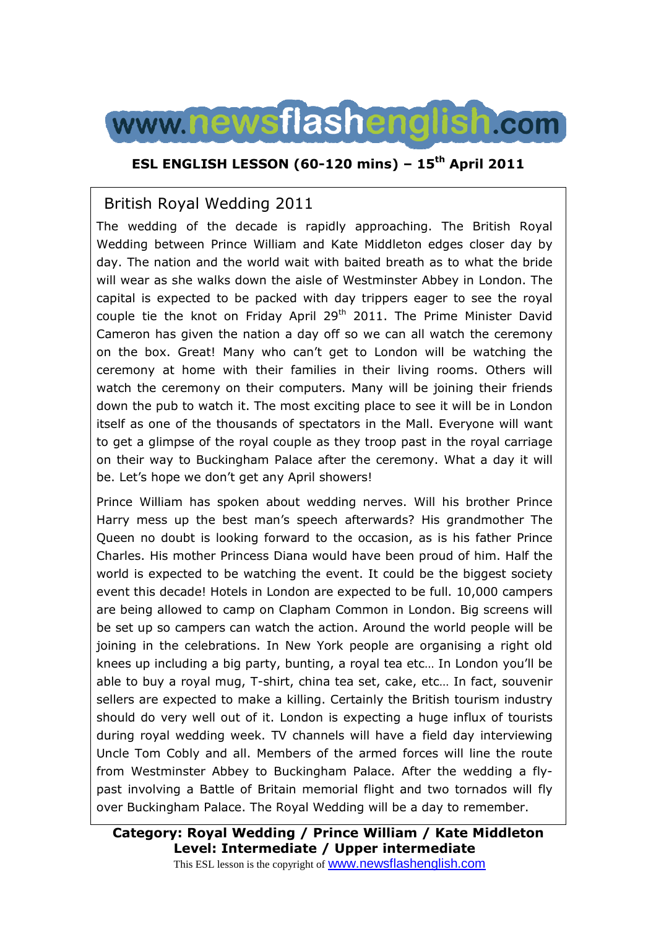

## **ESL ENGLISH LESSON (60-120 mins) – 15th April 2011**

### British Royal Wedding 2011

The wedding of the decade is rapidly approaching. The British Royal Wedding between Prince William and Kate Middleton edges closer day by day. The nation and the world wait with baited breath as to what the bride will wear as she walks down the aisle of Westminster Abbey in London. The capital is expected to be packed with day trippers eager to see the royal couple tie the knot on Friday April 29<sup>th</sup> 2011. The Prime Minister David Cameron has given the nation a day off so we can all watch the ceremony on the box. Great! Many who can't get to London will be watching the ceremony at home with their families in their living rooms. Others will watch the ceremony on their computers. Many will be joining their friends down the pub to watch it. The most exciting place to see it will be in London itself as one of the thousands of spectators in the Mall. Everyone will want to get a glimpse of the royal couple as they troop past in the royal carriage on their way to Buckingham Palace after the ceremony. What a day it will be. Let's hope we don't get any April showers!

Prince William has spoken about wedding nerves. Will his brother Prince Harry mess up the best man's speech afterwards? His grandmother The Queen no doubt is looking forward to the occasion, as is his father Prince Charles. His mother Princess Diana would have been proud of him. Half the world is expected to be watching the event. It could be the biggest society event this decade! Hotels in London are expected to be full. 10,000 campers are being allowed to camp on Clapham Common in London. Big screens will be set up so campers can watch the action. Around the world people will be joining in the celebrations. In New York people are organising a right old knees up including a big party, bunting, a royal tea etc… In London you'll be able to buy a royal mug, T-shirt, china tea set, cake, etc… In fact, souvenir sellers are expected to make a killing. Certainly the British tourism industry should do very well out of it. London is expecting a huge influx of tourists during royal wedding week. TV channels will have a field day interviewing Uncle Tom Cobly and all. Members of the armed forces will line the route from Westminster Abbey to Buckingham Palace. After the wedding a flypast involving a Battle of Britain memorial flight and two tornados will fly over Buckingham Palace. The Royal Wedding will be a day to remember.

## **Category: Royal Wedding / Prince William / Kate Middleton Level: Intermediate / Upper intermediate**

This ESL lesson is the copyright of www.newsflashenglish.com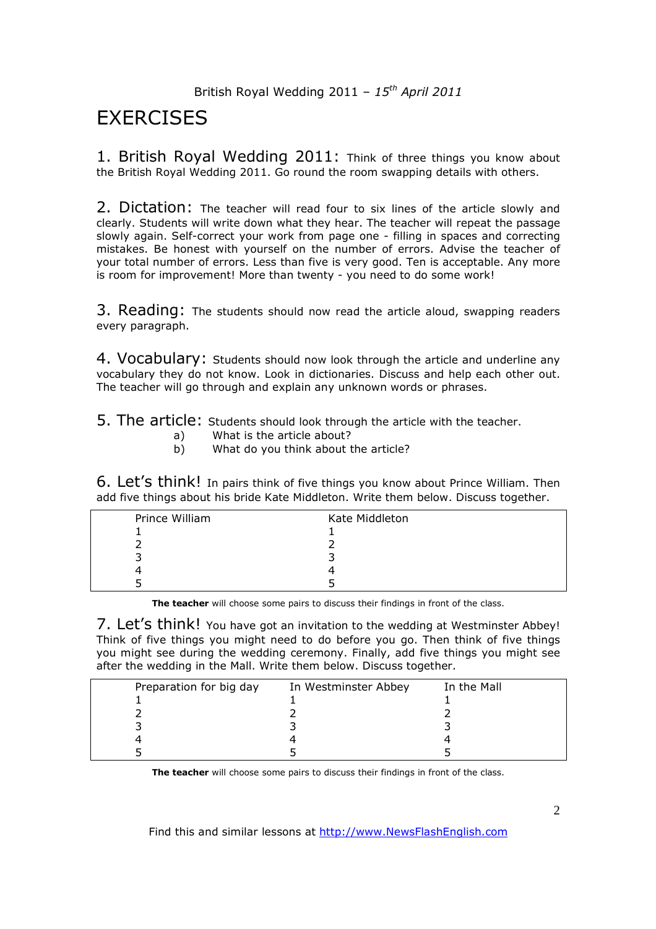# **EXERCISES**

1. British Royal Wedding 2011: Think of three things you know about the British Royal Wedding 2011. Go round the room swapping details with others.

2. Dictation: The teacher will read four to six lines of the article slowly and clearly. Students will write down what they hear. The teacher will repeat the passage slowly again. Self-correct your work from page one - filling in spaces and correcting mistakes. Be honest with yourself on the number of errors. Advise the teacher of your total number of errors. Less than five is very good. Ten is acceptable. Any more is room for improvement! More than twenty - you need to do some work!

3. Reading: The students should now read the article aloud, swapping readers every paragraph.

4. Vocabulary: Students should now look through the article and underline any vocabulary they do not know. Look in dictionaries. Discuss and help each other out. The teacher will go through and explain any unknown words or phrases.

5. The article: Students should look through the article with the teacher.

- a) What is the article about?
- b) What do you think about the article?

6. Let's think! In pairs think of five things you know about Prince William. Then add five things about his bride Kate Middleton. Write them below. Discuss together.

| Prince William | Kate Middleton |
|----------------|----------------|
|                |                |
|                |                |
|                |                |
|                |                |
|                |                |
|                |                |

**The teacher** will choose some pairs to discuss their findings in front of the class.

7. Let's think! You have got an invitation to the wedding at Westminster Abbey! Think of five things you might need to do before you go. Then think of five things you might see during the wedding ceremony. Finally, add five things you might see after the wedding in the Mall. Write them below. Discuss together.

| Preparation for big day | In Westminster Abbey | In the Mall |
|-------------------------|----------------------|-------------|
|                         |                      |             |
|                         |                      |             |
|                         |                      |             |
|                         |                      |             |
|                         |                      |             |

**The teacher** will choose some pairs to discuss their findings in front of the class.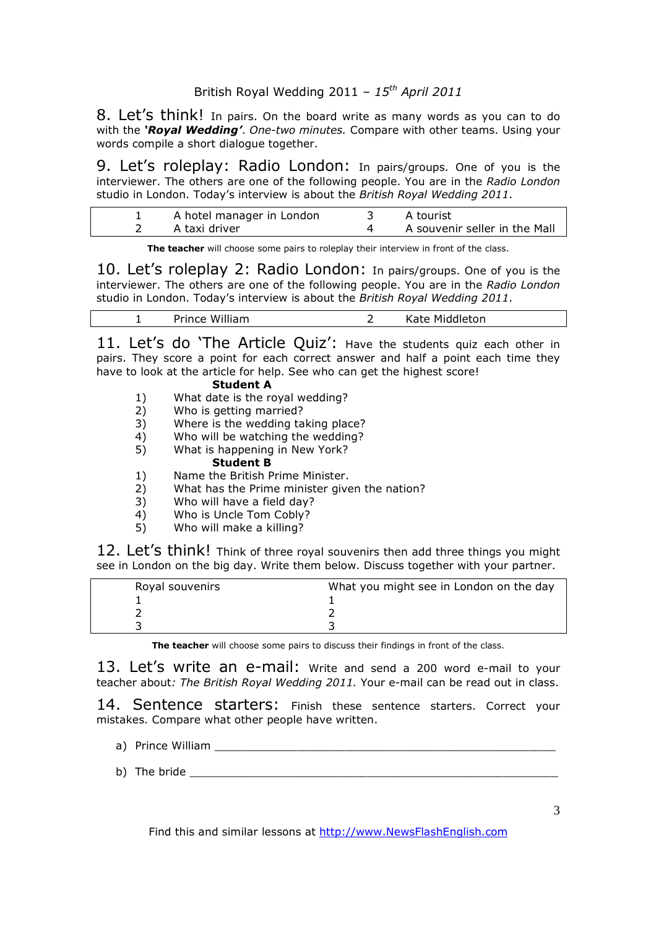8. Let's think! In pairs. On the board write as many words as you can to do with the *'Royal Wedding'*. *One-two minutes.* Compare with other teams. Using your words compile a short dialogue together.

9. Let's roleplay: Radio London: In pairs/groups. One of you is the interviewer. The others are one of the following people. You are in the *Radio London*  studio in London. Today's interview is about the *British Royal Wedding 2011*.

| A hotel manager in London | . A tourist                   |
|---------------------------|-------------------------------|
| A taxi driver             | A souvenir seller in the Mall |

**The teacher** will choose some pairs to roleplay their interview in front of the class.

10. Let's roleplay 2: Radio London: In pairs/groups. One of you is the interviewer. The others are one of the following people. You are in the *Radio London*  studio in London. Today's interview is about the *British Royal Wedding 2011*.

| William<br>Prince | Middleton<br>Kate |  |
|-------------------|-------------------|--|
|                   |                   |  |

11. Let's do 'The Article Quiz': Have the students quiz each other in pairs. They score a point for each correct answer and half a point each time they have to look at the article for help. See who can get the highest score!

| <b>Student A</b> |                                 |  |  |  |
|------------------|---------------------------------|--|--|--|
|                  | What date is the royal wedding? |  |  |  |
|                  | Who is getting married?         |  |  |  |
| - -              |                                 |  |  |  |

- 3) Where is the wedding taking place?
- 4) Who will be watching the wedding?
- 5) What is happening in New York?
	- **Student B**
- 1) Name the British Prime Minister.
- 2) What has the Prime minister given the nation?
- 3) Who will have a field day?
- 4) Who is Uncle Tom Cobly?
- 5) Who will make a killing?

12. Let's think! Think of three royal souvenirs then add three things you might see in London on the big day. Write them below. Discuss together with your partner.

| Royal souvenirs | What you might see in London on the day |
|-----------------|-----------------------------------------|
|                 |                                         |
|                 |                                         |
|                 |                                         |

**The teacher** will choose some pairs to discuss their findings in front of the class.

13. Let's write an e-mail: Write and send a 200 word e-mail to your teacher about*: The British Royal Wedding 2011.* Your e-mail can be read out in class.

14. Sentence starters: Finish these sentence starters. Correct your mistakes. Compare what other people have written.

- a) Prince William \_\_\_\_\_\_\_\_\_\_\_\_\_\_\_\_\_\_\_\_\_\_\_\_\_\_\_\_\_\_\_\_\_\_\_\_\_\_\_\_\_\_\_\_\_\_\_\_\_\_
- b) The bride  $\Box$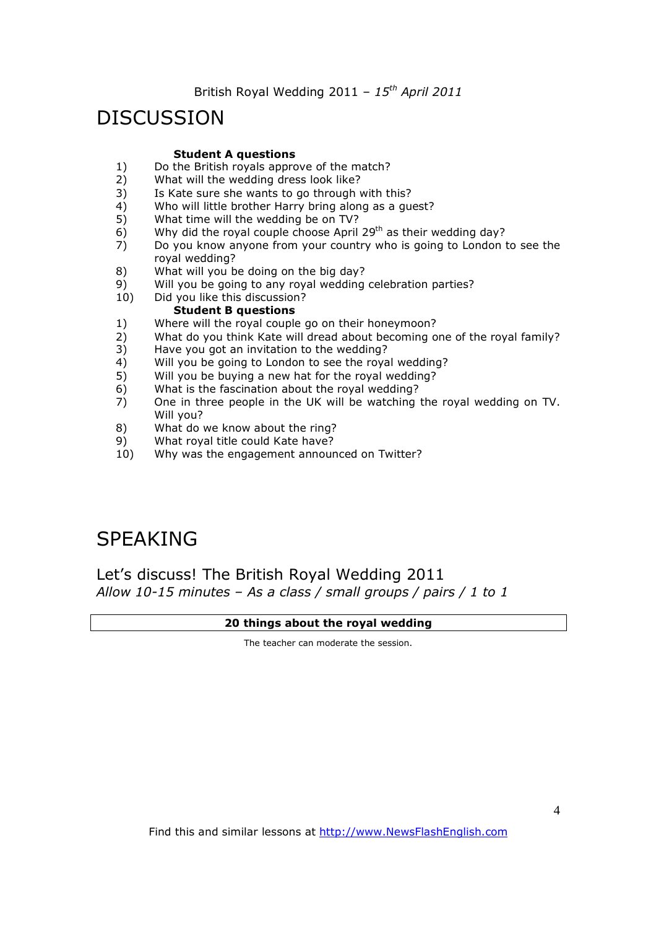## DISCUSSION

#### **Student A questions**

- 1) Do the British royals approve of the match?<br>2) What will the wedding dress look like?
- 2) What will the wedding dress look like?<br>3) Is Kate sure she wants to go through
- Is Kate sure she wants to go through with this?
- 4) Who will little brother Harry bring along as a guest?
- 5) What time will the wedding be on TV?
- 6) Why did the royal couple choose April 29<sup>th</sup> as their wedding day?
- 7) Do you know anyone from your country who is going to London to see the royal wedding?
- 8) What will you be doing on the big day?
- 9) Will you be going to any royal wedding celebration parties?<br>10) Did you like this discussion?
- Did you like this discussion?

#### **Student B questions**

- 1) Where will the royal couple go on their honeymoon?
- 2) What do you think Kate will dread about becoming one of the royal family?
- 3) Have you got an invitation to the wedding?
- 4) Will you be going to London to see the royal wedding?
- 5) Will you be buying a new hat for the royal wedding?
- 6) What is the fascination about the royal wedding?
- 7) One in three people in the UK will be watching the royal wedding on TV. Will you?
- 8) What do we know about the ring?
- 9) What royal title could Kate have?
- 10) Why was the engagement announced on Twitter?

# SPEAKING

Let's discuss! The British Royal Wedding 2011 *Allow 10-15 minutes – As a class / small groups / pairs / 1 to 1*

#### **20 things about the royal wedding**

The teacher can moderate the session.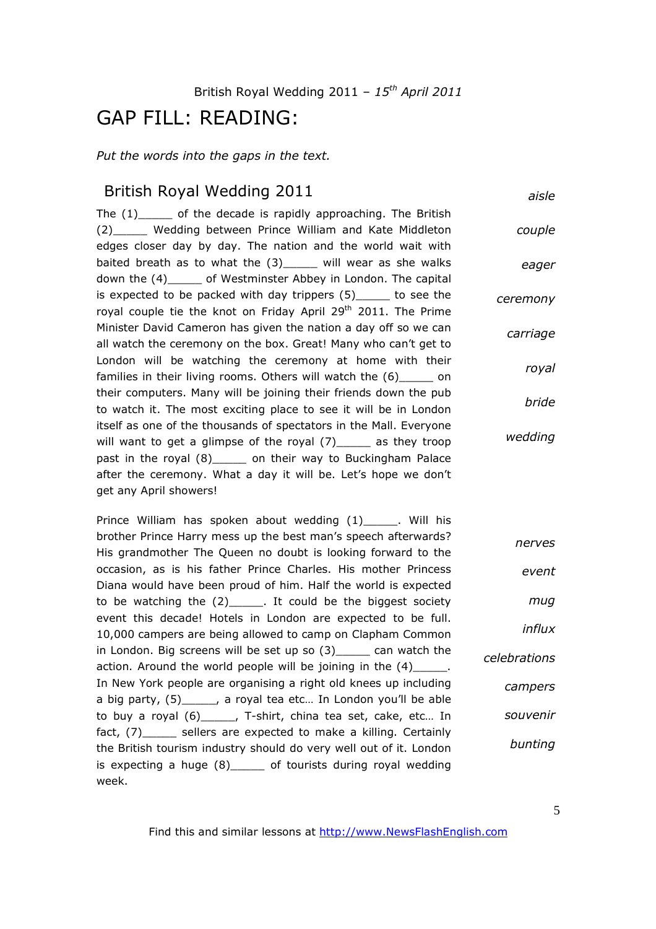## GAP FILL: READING:

*Put the words into the gaps in the text.* 

### British Royal Wedding 2011

*aisle*

The  $(1)$  of the decade is rapidly approaching. The British (2)\_\_\_\_\_ Wedding between Prince William and Kate Middleton edges closer day by day. The nation and the world wait with baited breath as to what the (3) will wear as she walks down the (4) of Westminster Abbey in London. The capital is expected to be packed with day trippers (5)\_\_\_\_\_ to see the royal couple tie the knot on Friday April 29<sup>th</sup> 2011. The Prime Minister David Cameron has given the nation a day off so we can all watch the ceremony on the box. Great! Many who can't get to London will be watching the ceremony at home with their families in their living rooms. Others will watch the (6)\_\_\_\_\_ on their computers. Many will be joining their friends down the pub to watch it. The most exciting place to see it will be in London itself as one of the thousands of spectators in the Mall. Everyone will want to get a glimpse of the royal (7) as they troop past in the royal (8)\_\_\_\_\_ on their way to Buckingham Palace after the ceremony. What a day it will be. Let's hope we don't get any April showers! *couple eager ceremony carriage royal bride wedding*

Prince William has spoken about wedding (1) The Will his brother Prince Harry mess up the best man's speech afterwards? His grandmother The Queen no doubt is looking forward to the occasion, as is his father Prince Charles. His mother Princess Diana would have been proud of him. Half the world is expected to be watching the (2)\_\_\_\_\_. It could be the biggest society event this decade! Hotels in London are expected to be full. 10,000 campers are being allowed to camp on Clapham Common in London. Big screens will be set up so (3)\_\_\_\_\_ can watch the action. Around the world people will be joining in the  $(4)$ \_\_\_\_\_. In New York people are organising a right old knees up including a big party, (5)\_\_\_\_\_, a royal tea etc… In London you'll be able to buy a royal (6)\_\_\_\_\_, T-shirt, china tea set, cake, etc… In fact, (7) sellers are expected to make a killing. Certainly the British tourism industry should do very well out of it. London is expecting a huge (8)\_\_\_\_\_ of tourists during royal wedding week. *nerves event mug influx celebrations campers souvenir bunting*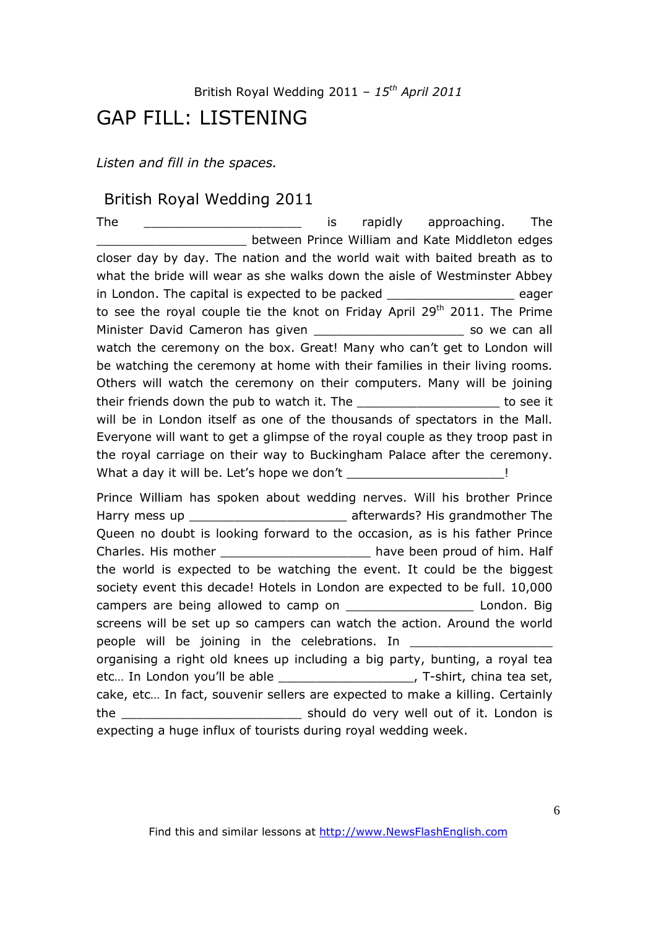## GAP FILL: LISTENING

*Listen and fill in the spaces.* 

### British Royal Wedding 2011

The the contract the contract of the state of the contract of the state of the state of the contract of the state of the state of the state of the state of the state of the state of the state of the state of the state of t \_\_\_\_\_\_\_\_\_\_\_\_\_\_\_\_\_\_\_\_ between Prince William and Kate Middleton edges closer day by day. The nation and the world wait with baited breath as to what the bride will wear as she walks down the aisle of Westminster Abbey in London. The capital is expected to be packed **the contact of the capacity** eager to see the royal couple tie the knot on Friday April  $29<sup>th</sup>$  2011. The Prime Minister David Cameron has given example that the so we can all watch the ceremony on the box. Great! Many who can't get to London will be watching the ceremony at home with their families in their living rooms. Others will watch the ceremony on their computers. Many will be joining their friends down the pub to watch it. The \_\_\_\_\_\_\_\_\_\_\_\_\_\_\_\_\_\_\_\_\_\_\_\_\_\_to see it will be in London itself as one of the thousands of spectators in the Mall. Everyone will want to get a glimpse of the royal couple as they troop past in the royal carriage on their way to Buckingham Palace after the ceremony. What a day it will be. Let's hope we don't \_\_\_\_\_\_\_\_\_\_\_\_\_\_\_\_\_\_\_\_\_!

Prince William has spoken about wedding nerves. Will his brother Prince Harry mess up example afterwards? His grandmother The Queen no doubt is looking forward to the occasion, as is his father Prince Charles. His mother the control of him. Half the world is expected to be watching the event. It could be the biggest society event this decade! Hotels in London are expected to be full. 10,000 campers are being allowed to camp on \_\_\_\_\_\_\_\_\_\_\_\_\_\_\_\_\_ London. Big screens will be set up so campers can watch the action. Around the world people will be joining in the celebrations. In \_\_\_\_\_\_\_\_\_\_\_\_\_\_\_\_\_\_\_\_\_\_\_\_\_\_\_\_\_\_\_\_\_ organising a right old knees up including a big party, bunting, a royal tea etc... In London you'll be able extended by T-shirt, china tea set, cake, etc… In fact, souvenir sellers are expected to make a killing. Certainly the \_\_\_\_\_\_\_\_\_\_\_\_\_\_\_\_\_\_\_\_\_\_\_\_ should do very well out of it. London is expecting a huge influx of tourists during royal wedding week.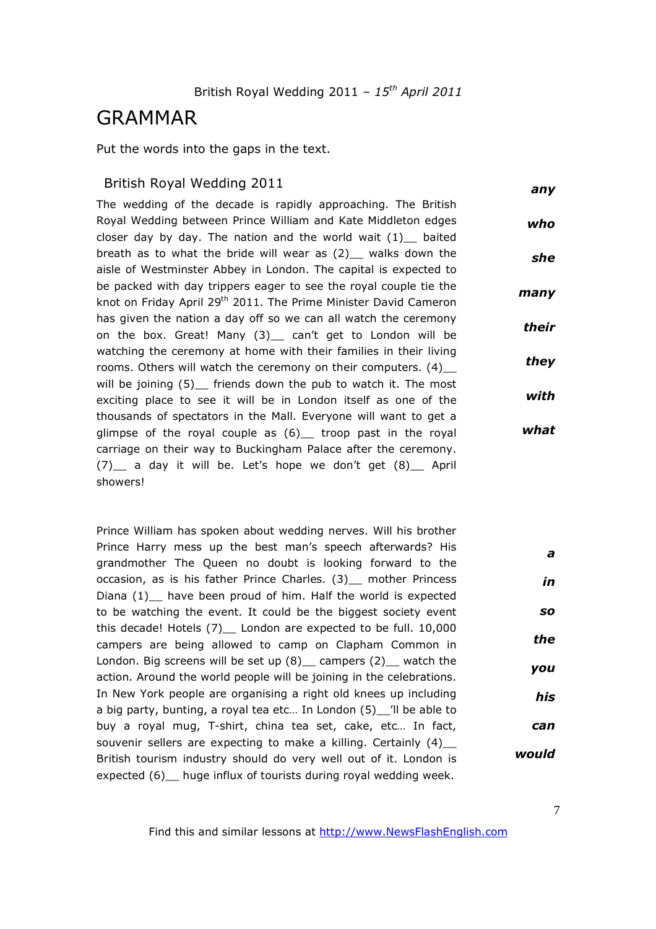## GRAMMAR

Put the words into the gaps in the text.

#### British Royal Wedding 2011

*any*

The wedding of the decade is rapidly approaching. The British Royal Wedding between Prince William and Kate Middleton edges closer day by day. The nation and the world wait  $(1)$  baited breath as to what the bride will wear as  $(2)$  walks down the aisle of Westminster Abbey in London. The capital is expected to be packed with day trippers eager to see the royal couple tie the knot on Friday April 29<sup>th</sup> 2011. The Prime Minister David Cameron has given the nation a day off so we can all watch the ceremony on the box. Great! Many (3)\_ can't get to London will be watching the ceremony at home with their families in their living rooms. Others will watch the ceremony on their computers. (4)\_\_ will be joining (5) friends down the pub to watch it. The most exciting place to see it will be in London itself as one of the thousands of spectators in the Mall. Everyone will want to get a glimpse of the royal couple as (6) troop past in the royal carriage on their way to Buckingham Palace after the ceremony. (7)\_\_ a day it will be. Let's hope we don't get (8)\_\_ April showers! *who she many their they with what*

Prince William has spoken about wedding nerves. Will his brother Prince Harry mess up the best man's speech afterwards? His grandmother The Queen no doubt is looking forward to the occasion, as is his father Prince Charles. (3) mother Princess Diana (1) have been proud of him. Half the world is expected to be watching the event. It could be the biggest society event this decade! Hotels (7) London are expected to be full. 10,000 campers are being allowed to camp on Clapham Common in London. Big screens will be set up  $(8)$  campers  $(2)$  watch the action. Around the world people will be joining in the celebrations. In New York people are organising a right old knees up including a big party, bunting, a royal tea etc… In London (5)\_\_'ll be able to buy a royal mug, T-shirt, china tea set, cake, etc… In fact, souvenir sellers are expecting to make a killing. Certainly (4) British tourism industry should do very well out of it. London is expected (6) huge influx of tourists during royal wedding week. *a in so the you his can would*

Find this and similar lessons at http://www.NewsFlashEnglish.com

7